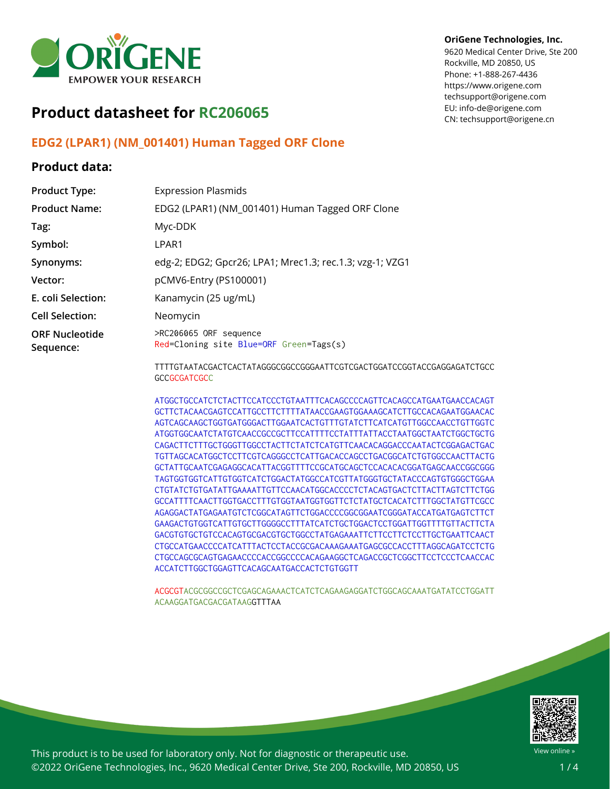

# **Product datasheet for RC206065**

## **EDG2 (LPAR1) (NM\_001401) Human Tagged ORF Clone**

### **Product data:**

#### **OriGene Technologies, Inc.**

9620 Medical Center Drive, Ste 200 Rockville, MD 20850, US Phone: +1-888-267-4436 https://www.origene.com techsupport@origene.com EU: info-de@origene.com CN: techsupport@origene.cn

| <b>Product Type:</b>               | <b>Expression Plasmids</b>                                                                    |
|------------------------------------|-----------------------------------------------------------------------------------------------|
| <b>Product Name:</b>               | EDG2 (LPAR1) (NM_001401) Human Tagged ORF Clone                                               |
| Tag:                               | Myc-DDK                                                                                       |
| Symbol:                            | LPAR1                                                                                         |
| Synonyms:                          | edg-2; EDG2; Gpcr26; LPA1; Mrec1.3; rec.1.3; vzg-1; VZG1                                      |
| Vector:                            | pCMV6-Entry (PS100001)                                                                        |
| E. coli Selection:                 | Kanamycin (25 ug/mL)                                                                          |
| <b>Cell Selection:</b>             | Neomycin                                                                                      |
| <b>ORF Nucleotide</b><br>Sequence: | >RC206065 ORF sequence<br>Red=Cloning site Blue=ORF Green=Tags(s)                             |
|                                    | TTTTGTAATACGACTCACTATAGGGCGGCCGGGAATTCGTCGACTGGATCCGGTACCGAGGAGATCTGCC<br><b>GCCGCGATCGCC</b> |

ATGGCTGCCATCTCTACTTCCATCCCTGTAATTTCACAGCCCCAGTTCACAGCCATGAATGAACCACAGT GCTTCTACAACGAGTCCATTGCCTTCTTTTATAACCGAAGTGGAAAGCATCTTGCCACAGAATGGAACAC AGTCAGCAAGCTGGTGATGGGACTTGGAATCACTGTTTGTATCTTCATCATGTTGGCCAACCTGTTGGTC ATGGTGGCAATCTATGTCAACCGCCGCTTCCATTTTCCTATTTATTACCTAATGGCTAATCTGGCTGCTG CAGACTTCTTTGCTGGGTTGGCCTACTTCTATCTCATGTTCAACACAGGACCCAATACTCGGAGACTGAC TGTTAGCACATGGCTCCTTCGTCAGGGCCTCATTGACACCAGCCTGACGGCATCTGTGGCCAACTTACTG GCTATTGCAATCGAGAGGCACATTACGGTTTTCCGCATGCAGCTCCACACACGGATGAGCAACCGGCGGG TAGTGGTGGTCATTGTGGTCATCTGGACTATGGCCATCGTTATGGGTGCTATACCCAGTGTGGGCTGGAA CTGTATCTGTGATATTGAAAATTGTTCCAACATGGCACCCCTCTACAGTGACTCTTACTTAGTCTTCTGG GCCATTTTCAACTTGGTGACCTTTGTGGTAATGGTGGTTCTCTATGCTCACATCTTTGGCTATGTTCGCC AGAGGACTATGAGAATGTCTCGGCATAGTTCTGGACCCCGGCGGAATCGGGATACCATGATGAGTCTTCT GAAGACTGTGGTCATTGTGCTTGGGGCCTTTATCATCTGCTGGACTCCTGGATTGGTTTTGTTACTTCTA GACGTGTGCTGTCCACAGTGCGACGTGCTGGCCTATGAGAAATTCTTCCTTCTCCTTGCTGAATTCAACT CTGCCATGAACCCCATCATTTACTCCTACCGCGACAAAGAAATGAGCGCCACCTTTAGGCAGATCCTCTG CTGCCAGCGCAGTGAGAACCCCACCGGCCCCACAGAAGGCTCAGACCGCTCGGCTTCCTCCCTCAACCAC ACCATCTTGGCTGGAGTTCACAGCAATGACCACTCTGTGGTT

ACGCGTACGCGGCCGCTCGAGCAGAAACTCATCTCAGAAGAGGATCTGGCAGCAAATGATATCCTGGATT ACAAGGATGACGACGATAAGGTTTAA



View online »

This product is to be used for laboratory only. Not for diagnostic or therapeutic use. ©2022 OriGene Technologies, Inc., 9620 Medical Center Drive, Ste 200, Rockville, MD 20850, US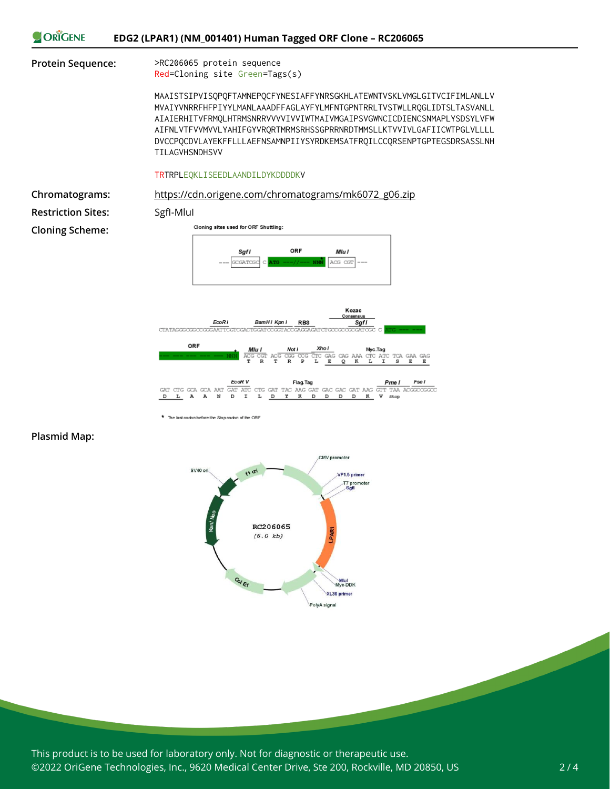



**Plasmid Map:**



\* The last codon before the Stop codon of the ORF

This product is to be used for laboratory only. Not for diagnostic or therapeutic use. ©2022 OriGene Technologies, Inc., 9620 Medical Center Drive, Ste 200, Rockville, MD 20850, US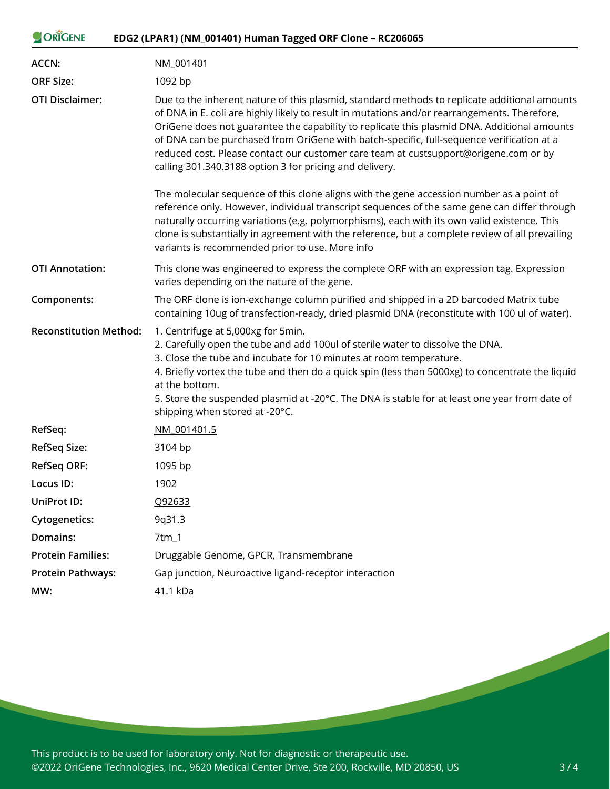| ORIGENE                       | EDG2 (LPAR1) (NM_001401) Human Tagged ORF Clone - RC206065                                                                                                                                                                                                                                                                                                                                                                                                                                                                                  |
|-------------------------------|---------------------------------------------------------------------------------------------------------------------------------------------------------------------------------------------------------------------------------------------------------------------------------------------------------------------------------------------------------------------------------------------------------------------------------------------------------------------------------------------------------------------------------------------|
| <b>ACCN:</b>                  | NM 001401                                                                                                                                                                                                                                                                                                                                                                                                                                                                                                                                   |
| <b>ORF Size:</b>              | 1092 bp                                                                                                                                                                                                                                                                                                                                                                                                                                                                                                                                     |
| <b>OTI Disclaimer:</b>        | Due to the inherent nature of this plasmid, standard methods to replicate additional amounts<br>of DNA in E. coli are highly likely to result in mutations and/or rearrangements. Therefore,<br>OriGene does not guarantee the capability to replicate this plasmid DNA. Additional amounts<br>of DNA can be purchased from OriGene with batch-specific, full-sequence verification at a<br>reduced cost. Please contact our customer care team at custsupport@origene.com or by<br>calling 301.340.3188 option 3 for pricing and delivery. |
|                               | The molecular sequence of this clone aligns with the gene accession number as a point of<br>reference only. However, individual transcript sequences of the same gene can differ through<br>naturally occurring variations (e.g. polymorphisms), each with its own valid existence. This<br>clone is substantially in agreement with the reference, but a complete review of all prevailing<br>variants is recommended prior to use. More info                                                                                              |
| <b>OTI Annotation:</b>        | This clone was engineered to express the complete ORF with an expression tag. Expression<br>varies depending on the nature of the gene.                                                                                                                                                                                                                                                                                                                                                                                                     |
| Components:                   | The ORF clone is ion-exchange column purified and shipped in a 2D barcoded Matrix tube<br>containing 10ug of transfection-ready, dried plasmid DNA (reconstitute with 100 ul of water).                                                                                                                                                                                                                                                                                                                                                     |
| <b>Reconstitution Method:</b> | 1. Centrifuge at 5,000xg for 5min.<br>2. Carefully open the tube and add 100ul of sterile water to dissolve the DNA.<br>3. Close the tube and incubate for 10 minutes at room temperature.<br>4. Briefly vortex the tube and then do a quick spin (less than 5000xg) to concentrate the liquid<br>at the bottom.<br>5. Store the suspended plasmid at -20°C. The DNA is stable for at least one year from date of<br>shipping when stored at -20°C.                                                                                         |
| RefSeq:                       | NM 001401.5                                                                                                                                                                                                                                                                                                                                                                                                                                                                                                                                 |
| <b>RefSeq Size:</b>           | 3104 bp                                                                                                                                                                                                                                                                                                                                                                                                                                                                                                                                     |
| <b>RefSeq ORF:</b>            | 1095 bp                                                                                                                                                                                                                                                                                                                                                                                                                                                                                                                                     |
| Locus ID:                     | 1902                                                                                                                                                                                                                                                                                                                                                                                                                                                                                                                                        |
| <b>UniProt ID:</b>            | Q92633                                                                                                                                                                                                                                                                                                                                                                                                                                                                                                                                      |
| <b>Cytogenetics:</b>          | 9q31.3                                                                                                                                                                                                                                                                                                                                                                                                                                                                                                                                      |
| Domains:                      | 7tm_1                                                                                                                                                                                                                                                                                                                                                                                                                                                                                                                                       |
| <b>Protein Families:</b>      | Druggable Genome, GPCR, Transmembrane                                                                                                                                                                                                                                                                                                                                                                                                                                                                                                       |
| <b>Protein Pathways:</b>      | Gap junction, Neuroactive ligand-receptor interaction                                                                                                                                                                                                                                                                                                                                                                                                                                                                                       |
| MW:                           | 41.1 kDa                                                                                                                                                                                                                                                                                                                                                                                                                                                                                                                                    |

This product is to be used for laboratory only. Not for diagnostic or therapeutic use. ©2022 OriGene Technologies, Inc., 9620 Medical Center Drive, Ste 200, Rockville, MD 20850, US